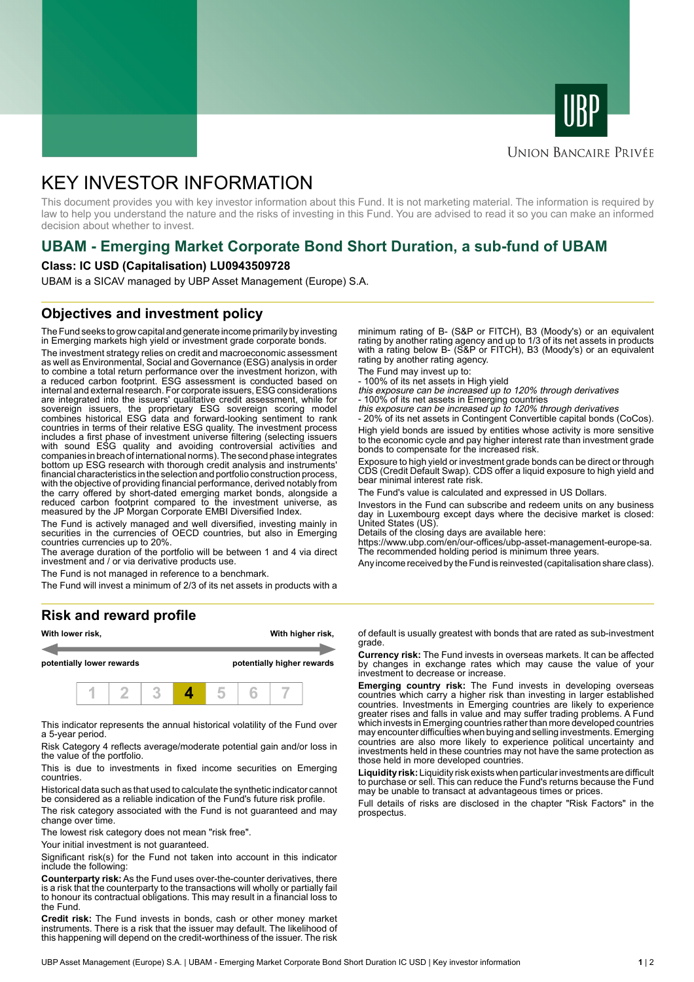



### **UNION BANCAIRE PRIVÉE**

# KEY INVESTOR INFORMATION

This document provides you with key investor information about this Fund. It is not marketing material. The information is required by law to help you understand the nature and the risks of investing in this Fund. You are advised to read it so you can make an informed decision about whether to invest.

# **UBAM - Emerging Market Corporate Bond Short Duration, a sub-fund of UBAM**

#### **Class: IC USD (Capitalisation) LU0943509728**

UBAM is a SICAV managed by UBP Asset Management (Europe) S.A.

### **Objectives and investment policy**

The Fund seeks to grow capital and generate income primarily by investing in Emerging markets high yield or investment grade corporate bonds.

The investment strategy relies on credit and macroeconomic assessment as well as Environmental, Social and Governance (ESG) analysis in order to combine a total return performance over the investment horizon, with a reduced carbon footprint. ESG assessment is conducted based on internal and external research. For corporate issuers, ESG considerations are integrated into the issuers' qualitative credit assessment, while for sovereign issuers, the proprietary ESG sovereign scoring model combines historical ESG data and forward-looking sentiment to rank countries in terms of their relative ESG quality. The investment process includes a first phase of investment universe filtering (selecting issuers with sound ESG quality and avoiding controversial activities and companies in breach of international norms). The second phase integrates bottom up ESG research with thorough credit analysis and instruments' financial characteristics in the selection and portfolio construction process, with the objective of providing financial performance, derived notably from the carry offered by short-dated emerging market bonds, alongside a reduced carbon footprint compared to the investment universe, as measured by the JP Morgan Corporate EMBI Diversified Index.

The Fund is actively managed and well diversified, investing mainly in securities in the currencies of OECD countries, but also in Emerging countries currencies up to 20%.

The average duration of the portfolio will be between 1 and 4 via direct investment and / or via derivative products use.

The Fund is not managed in reference to a benchmark.

The Fund will invest a minimum of 2/3 of its net assets in products with a

#### **Risk and reward profile**



This indicator represents the annual historical volatility of the Fund over a 5-year period.

Risk Category 4 reflects average/moderate potential gain and/or loss in the value of the portfolio.

This is due to investments in fixed income securities on Emerging countries.

Historical data such as that used to calculate the synthetic indicator cannot be considered as a reliable indication of the Fund's future risk profile.

The risk category associated with the Fund is not guaranteed and may change over time.

The lowest risk category does not mean "risk free".

Your initial investment is not guaranteed.

Significant risk(s) for the Fund not taken into account in this indicator include the following:

**Counterparty risk:** As the Fund uses over-the-counter derivatives, there is a risk that the counterparty to the transactions will wholly or partially fail to honour its contractual obligations. This may result in a financial loss to the Fund.

**Credit risk:** The Fund invests in bonds, cash or other money market instruments. There is a risk that the issuer may default. The likelihood of this happening will depend on the credit-worthiness of the issuer. The risk

minimum rating of B- (S&P or FITCH), B3 (Moody's) or an equivalent rating by another rating agency and up to 1/3 of its net assets in products with a rating below B- (S&P or FITCH), B3 (Moody's) or an equivalent rating by another rating agency.

The Fund may invest up to:

- 100% of its net assets in High yield this exposure can be increased up to 120% through derivatives

- 100% of its net assets in Emerging countries<br>*this exposure can be increased up to 120% through derivatives*<br>- 20% of its net assets in Contingent Convertible capital bonds (CoCos).

High yield bonds are issued by entities whose activity is more sensitive to the economic cycle and pay higher interest rate than investment grade bonds to compensate for the increased risk.

Exposure to high yield or investment grade bonds can be direct or through CDS (Credit Default Swap). CDS offer a liquid exposure to high yield and bear minimal interest rate risk.

The Fund's value is calculated and expressed in US Dollars.

Investors in the Fund can subscribe and redeem units on any business day in Luxembourg except days where the decisive market is closed: United States (US).

Details of the closing days are available here:

https://www.ubp.com/en/our-offices/ubp-asset-management-europe-sa. The recommended holding period is minimum three years.

Any income received by the Fund is reinvested (capitalisation share class).

of default is usually greatest with bonds that are rated as sub-investment grade.

**Currency risk:** The Fund invests in overseas markets. It can be affected by changes in exchange rates which may cause the value of your investment to decrease or increase.

**Emerging country risk:** The Fund invests in developing overseas countries which carry a higher risk than investing in larger established countries. Investments in Emerging countries are likely to experience greater rises and falls in value and may suffer trading problems. A Fund which invests in Emerging countries rather than more developed countries may encounter difficulties when buying and selling investments. Emerging countries are also more likely to experience political uncertainty and investments held in these countries may not have the same protection as those held in more developed countries.

**Liquidity risk:** Liquidity risk exists when particular investments are difficult to purchase or sell. This can reduce the Fund's returns because the Fund may be unable to transact at advantageous times or prices.

Full details of risks are disclosed in the chapter "Risk Factors" in the prospectus.